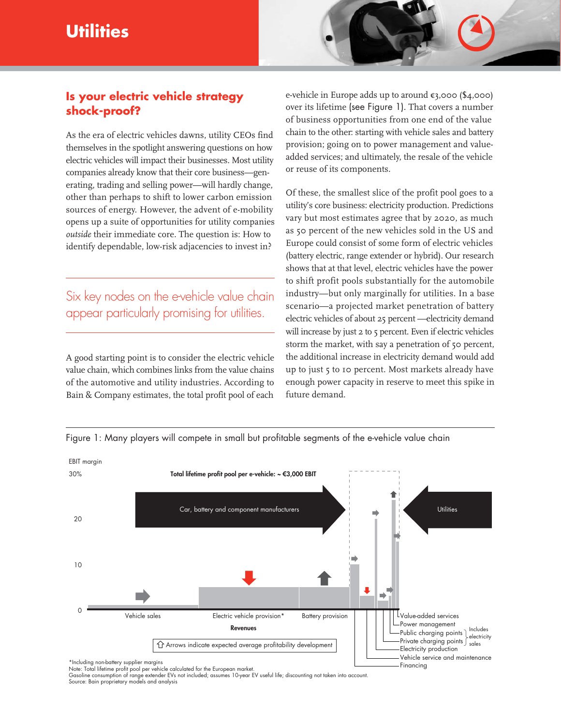# **Utilities**



### **Is your electric vehicle strategy shock-proof?**

As the era of electric vehicles dawns, utility CEOs find themselves in the spotlight answering questions on how electric vehicles will impact their businesses. Most utility companies already know that their core business—generating, trading and selling power—will hardly change, other than perhaps to shift to lower carbon emission sources of energy. However, the advent of e-mobility opens up a suite of opportunities for utility companies *outside* their immediate core. The question is: How to identify dependable, low-risk adjacencies to invest in?

## Six key nodes on the e-vehicle value chain appear particularly promising for utilities.

A good starting point is to consider the electric vehicle value chain, which combines links from the value chains of the automotive and utility industries. According to Bain & Company estimates, the total profit pool of each e-vehicle in Europe adds up to around  $\varepsilon$ 3,000 (\$4,000) over its lifetime (see Figure 1). That covers a number of business opportunities from one end of the value chain to the other: starting with vehicle sales and battery provision; going on to power management and valueadded services; and ultimately, the resale of the vehicle or reuse of its components.

Of these, the smallest slice of the profit pool goes to a utility's core business: electricity production. Predictions vary but most estimates agree that by 2020, as much as 50 percent of the new vehicles sold in the US and Europe could consist of some form of electric vehicles (battery electric, range extender or hybrid). Our research shows that at that level, electric vehicles have the power to shift profit pools substantially for the automobile industry—but only marginally for utilities. In a base scenario—a projected market penetration of battery electric vehicles of about 25 percent —electricity demand will increase by just 2 to 5 percent. Even if electric vehicles storm the market, with say a penetration of 50 percent, the additional increase in electricity demand would add up to just 5 to 10 percent. Most markets already have enough power capacity in reserve to meet this spike in future demand.

Financing

Figure 1: Many players will compete in small but profitable segments of the e-vehicle value chain



\*Including non-battery supplier margins

Note: Total lifetime profit pool per vehicle calculated for the European market.<br>Gasoline consumption of range extender EVs not included; assumes 10-year EV useful life; discounting not taken into account. Source: Bain proprietary models and analysis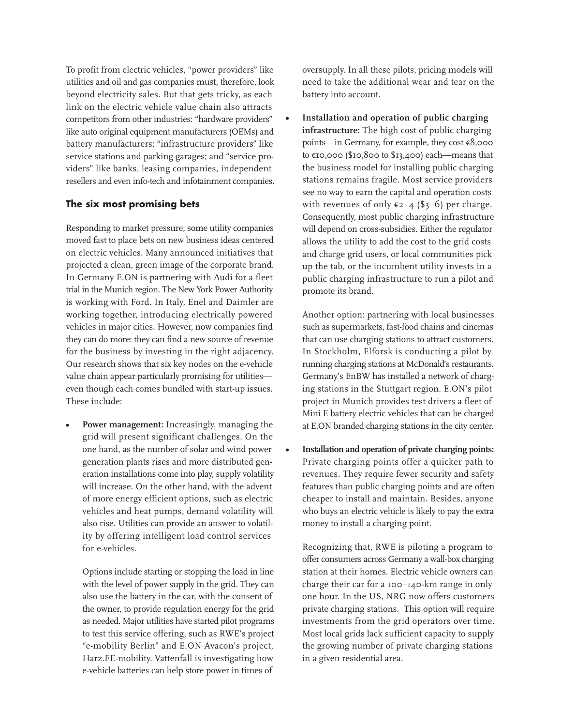To profit from electric vehicles, "power providers" like utilities and oil and gas companies must, therefore, look beyond electricity sales. But that gets tricky, as each link on the electric vehicle value chain also attracts competitors from other industries: "hardware providers" like auto original equipment manufacturers (OEMs) and battery manufacturers; "infrastructure providers" like service stations and parking garages; and "service providers" like banks, leasing companies, independent resellers and even info-tech and infotainment companies.

#### **The six most promising bets**

Responding to market pressure, some utility companies moved fast to place bets on new business ideas centered on electric vehicles. Many announced initiatives that projected a clean, green image of the corporate brand. In Germany E.ON is partnering with Audi for a fleet trial in the Munich region. The New York Power Authority is working with Ford. In Italy, Enel and Daimler are working together, introducing electrically powered vehicles in major cities. However, now companies find they can do more: they can find a new source of revenue for the business by investing in the right adjacency. Our research shows that six key nodes on the e-vehicle value chain appear particularly promising for utilities even though each comes bundled with start-up issues. These include:

**• Power management:** Increasingly, managing the grid will present significant challenges. On the one hand, as the number of solar and wind power generation plants rises and more distributed generation installations come into play, supply volatility will increase. On the other hand, with the advent of more energy efficient options, such as electric vehicles and heat pumps, demand volatility will also rise. Utilities can provide an answer to volatility by offering intelligent load control services for e-vehicles.

Options include starting or stopping the load in line with the level of power supply in the grid. They can also use the battery in the car, with the consent of the owner, to provide regulation energy for the grid as needed. Major utilities have started pilot programs to test this service offering, such as RWE's project "e-mobility Berlin" and E.ON Avacon's project, Harz.EE-mobility. Vattenfall is investigating how e-vehicle batteries can help store power in times of

oversupply. In all these pilots, pricing models will need to take the additional wear and tear on the battery into account.

**• Installation and operation of public charging infrastructure:** The high cost of public charging points—in Germany, for example, they cost €8,000 to €10,000 (\$10,800 to \$13,400) each—means that the business model for installing public charging stations remains fragile. Most service providers see no way to earn the capital and operation costs with revenues of only  $\varepsilon$ 2–4 (\$3–6) per charge. Consequently, most public charging infrastructure will depend on cross-subsidies. Either the regulator allows the utility to add the cost to the grid costs and charge grid users, or local communities pick up the tab, or the incumbent utility invests in a public charging infrastructure to run a pilot and promote its brand.

Another option: partnering with local businesses such as supermarkets, fast-food chains and cinemas that can use charging stations to attract customers. In Stockholm, Elforsk is conducting a pilot by running charging stations at McDonald's restaurants. Germany's EnBW has installed a network of charging stations in the Stuttgart region. E.ON's pilot project in Munich provides test drivers a fleet of Mini E battery electric vehicles that can be charged at E.ON branded charging stations in the city center.

**• Installation and operation of private charging points:** Private charging points offer a quicker path to revenues. They require fewer security and safety features than public charging points and are often cheaper to install and maintain. Besides, anyone who buys an electric vehicle is likely to pay the extra money to install a charging point.

Recognizing that, RWE is piloting a program to offer consumers across Germany a wall-box charging station at their homes. Electric vehicle owners can charge their car for a 100–140-km range in only one hour. In the US, NRG now offers customers private charging stations. This option will require investments from the grid operators over time. Most local grids lack sufficient capacity to supply the growing number of private charging stations in a given residential area.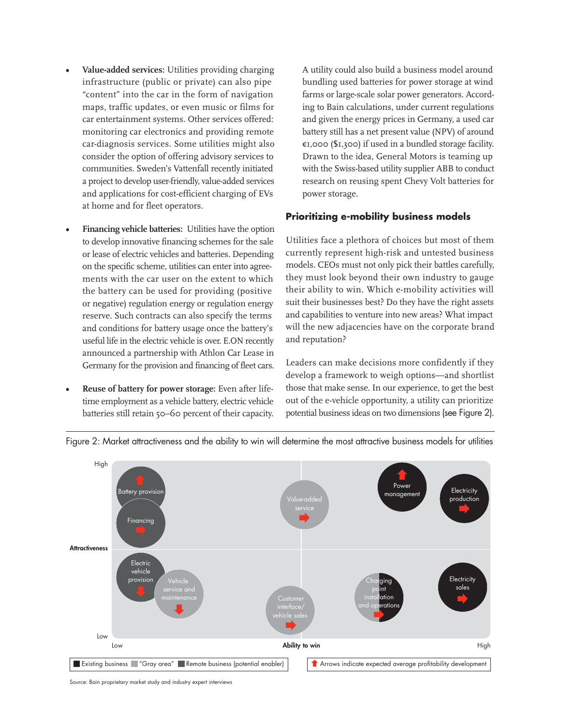- **Value-added services:** Utilities providing charging infrastructure (public or private) can also pipe "content" into the car in the form of navigation maps, traffic updates, or even music or films for car entertainment systems. Other services offered: monitoring car electronics and providing remote car-diagnosis services. Some utilities might also consider the option of offering advisory services to communities. Sweden's Vattenfall recently initiated a project to develop user-friendly, value-added services and applications for cost-efficient charging of EVs at home and for fleet operators.
- **Financing vehicle batteries:** Utilities have the option to develop innovative financing schemes for the sale or lease of electric vehicles and batteries. Depending on the specific scheme, utilities can enter into agreements with the car user on the extent to which the battery can be used for providing (positive or negative) regulation energy or regulation energy reserve. Such contracts can also specify the terms and conditions for battery usage once the battery's useful life in the electric vehicle is over. E.ON recently announced a partnership with Athlon Car Lease in Germany for the provision and financing of fleet cars.
- **Reuse of battery for power storage:** Even after lifetime employment as a vehicle battery, electric vehicle batteries still retain 50–60 percent of their capacity.

A utility could also build a business model around bundling used batteries for power storage at wind farms or large-scale solar power generators. According to Bain calculations, under current regulations and given the energy prices in Germany, a used car battery still has a net present value (NPV) of around  $\epsilon$ 1,000 (\$1,300) if used in a bundled storage facility. Drawn to the idea, General Motors is teaming up with the Swiss-based utility supplier ABB to conduct research on reusing spent Chevy Volt batteries for power storage.

#### **Prioritizing e-mobility business models**

Utilities face a plethora of choices but most of them currently represent high-risk and untested business models. CEOs must not only pick their battles carefully, they must look beyond their own industry to gauge their ability to win. Which e-mobility activities will suit their businesses best? Do they have the right assets and capabilities to venture into new areas? What impact will the new adjacencies have on the corporate brand and reputation?

Leaders can make decisions more confidently if they develop a framework to weigh options—and shortlist those that make sense. In our experience, to get the best out of the e-vehicle opportunity, a utility can prioritize potential business ideas on two dimensions (see Figure 2).



Figure 2: Market attractiveness and the ability to win will determine the most attractive business models for utilities

Source: Bain proprietary market study and industry expert interviews